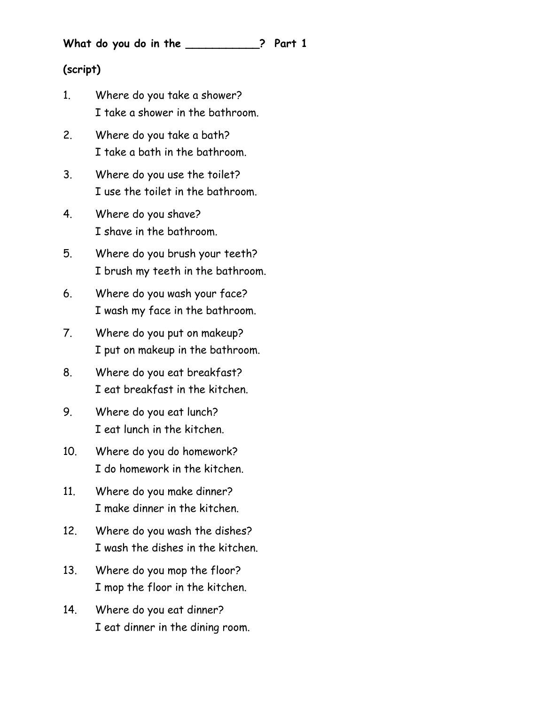**What do you do in the \_\_\_\_\_\_\_\_\_\_\_? Part 1**

## **(script)**

- 1. Where do you take a shower? I take a shower in the bathroom.
- 2. Where do you take a bath? I take a bath in the bathroom.
- 3. Where do you use the toilet? I use the toilet in the bathroom.
- 4. Where do you shave? I shave in the bathroom.
- 5. Where do you brush your teeth? I brush my teeth in the bathroom.
- 6. Where do you wash your face? I wash my face in the bathroom.
- 7. Where do you put on makeup? I put on makeup in the bathroom.
- 8. Where do you eat breakfast? I eat breakfast in the kitchen.
- 9. Where do you eat lunch? I eat lunch in the kitchen.
- 10. Where do you do homework? I do homework in the kitchen.
- 11. Where do you make dinner? I make dinner in the kitchen.
- 12. Where do you wash the dishes? I wash the dishes in the kitchen.
- 13. Where do you mop the floor? I mop the floor in the kitchen.
- 14. Where do you eat dinner? I eat dinner in the dining room.